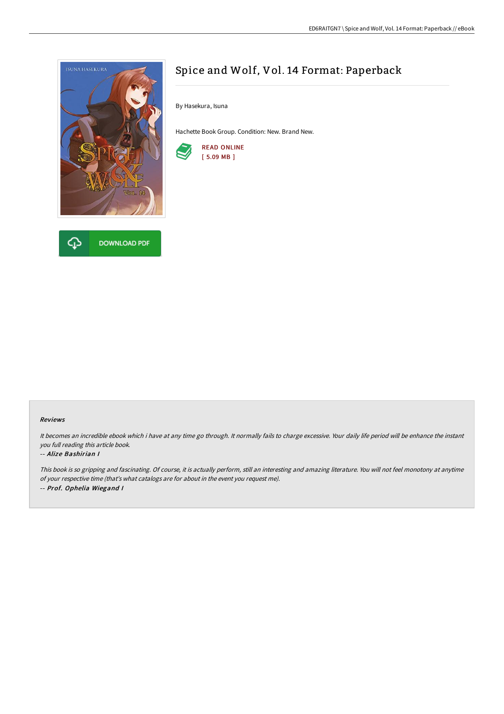



## Spice and Wolf, Vol. 14 Format: Paperback

By Hasekura, Isuna

Hachette Book Group. Condition: New. Brand New.



## Reviews

It becomes an incredible ebook which i have at any time go through. It normally fails to charge excessive. Your daily life period will be enhance the instant you full reading this article book.

## -- Alize Bashirian I

This book is so gripping and fascinating. Of course, it is actually perform, still an interesting and amazing literature. You will not feel monotony at anytime of your respective time (that's what catalogs are for about in the event you request me). -- Prof. Ophelia Wiegand <sup>I</sup>